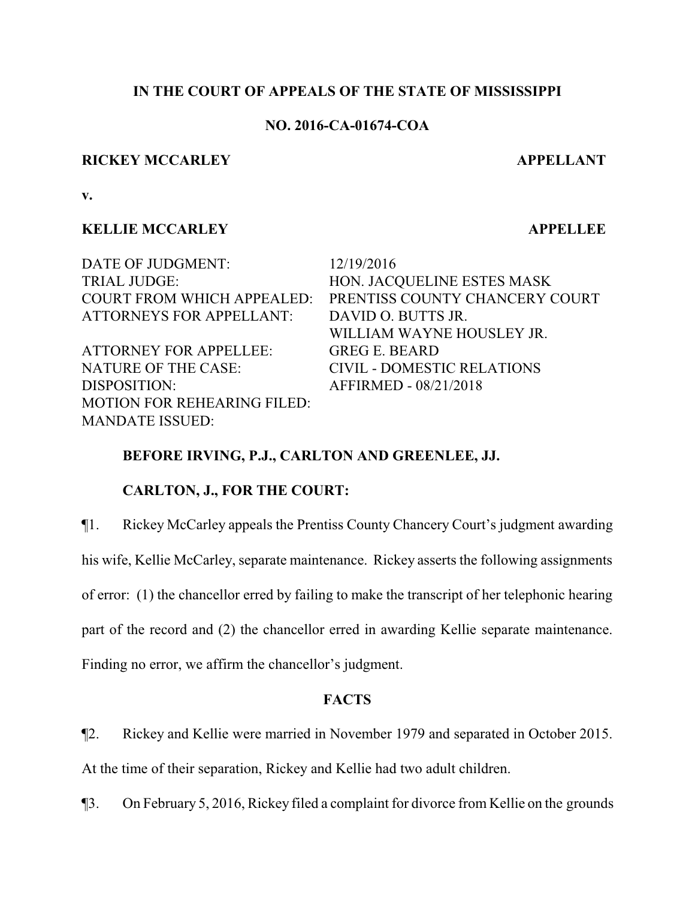## **IN THE COURT OF APPEALS OF THE STATE OF MISSISSIPPI**

## **NO. 2016-CA-01674-COA**

### **RICKEY MCCARLEY APPELLANT**

**v.**

# **KELLIE MCCARLEY APPELLEE**

DATE OF JUDGMENT: 12/19/2016 TRIAL JUDGE: HON. JACQUELINE ESTES MASK COURT FROM WHICH APPEALED: PRENTISS COUNTY CHANCERY COURT ATTORNEYS FOR APPELLANT: DAVID O. BUTTS JR. WILLIAM WAYNE HOUSLEY JR. ATTORNEY FOR APPELLEE: GREG E. BEARD NATURE OF THE CASE: CIVIL - DOMESTIC RELATIONS DISPOSITION: AFFIRMED - 08/21/2018 MOTION FOR REHEARING FILED: MANDATE ISSUED:

# **BEFORE IRVING, P.J., CARLTON AND GREENLEE, JJ.**

## **CARLTON, J., FOR THE COURT:**

¶1. Rickey McCarley appeals the Prentiss County Chancery Court's judgment awarding

his wife, Kellie McCarley, separate maintenance. Rickey asserts the following assignments

of error: (1) the chancellor erred by failing to make the transcript of her telephonic hearing

part of the record and (2) the chancellor erred in awarding Kellie separate maintenance.

Finding no error, we affirm the chancellor's judgment.

## **FACTS**

¶2. Rickey and Kellie were married in November 1979 and separated in October 2015.

At the time of their separation, Rickey and Kellie had two adult children.

¶3. On February 5, 2016, Rickey filed a complaint for divorce from Kellie on the grounds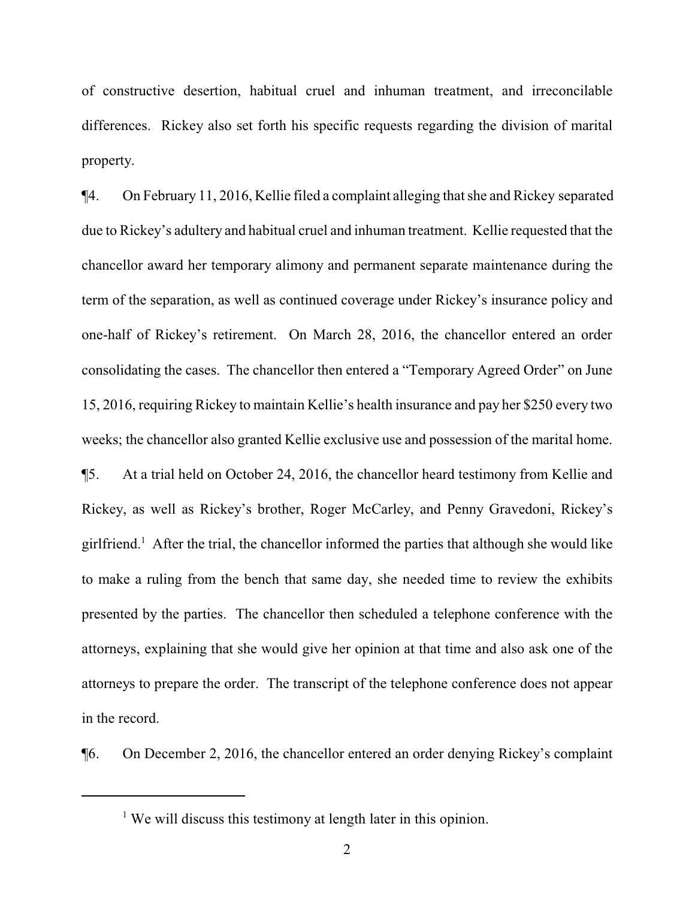of constructive desertion, habitual cruel and inhuman treatment, and irreconcilable differences. Rickey also set forth his specific requests regarding the division of marital property.

¶4. On February 11, 2016, Kellie filed a complaint alleging that she and Rickey separated due to Rickey's adultery and habitual cruel and inhuman treatment. Kellie requested that the chancellor award her temporary alimony and permanent separate maintenance during the term of the separation, as well as continued coverage under Rickey's insurance policy and one-half of Rickey's retirement. On March 28, 2016, the chancellor entered an order consolidating the cases. The chancellor then entered a "Temporary Agreed Order" on June 15, 2016, requiring Rickey to maintain Kellie's health insurance and pay her \$250 every two weeks; the chancellor also granted Kellie exclusive use and possession of the marital home. ¶5. At a trial held on October 24, 2016, the chancellor heard testimony from Kellie and Rickey, as well as Rickey's brother, Roger McCarley, and Penny Gravedoni, Rickey's girlfriend.<sup>1</sup> After the trial, the chancellor informed the parties that although she would like to make a ruling from the bench that same day, she needed time to review the exhibits presented by the parties. The chancellor then scheduled a telephone conference with the attorneys, explaining that she would give her opinion at that time and also ask one of the attorneys to prepare the order. The transcript of the telephone conference does not appear in the record.

¶6. On December 2, 2016, the chancellor entered an order denying Rickey's complaint

<sup>&</sup>lt;sup>1</sup> We will discuss this testimony at length later in this opinion.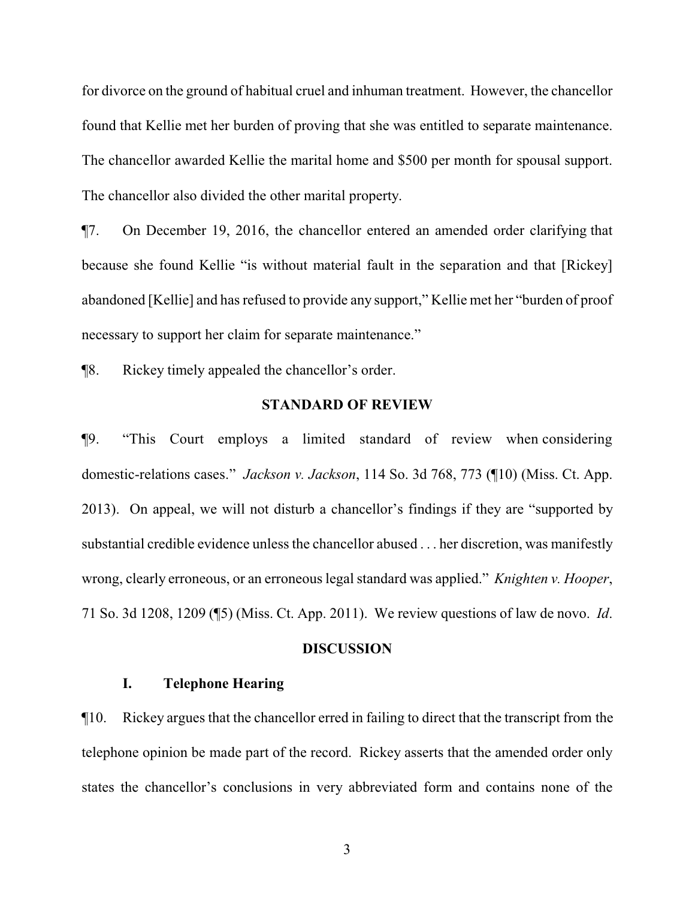for divorce on the ground of habitual cruel and inhuman treatment. However, the chancellor found that Kellie met her burden of proving that she was entitled to separate maintenance. The chancellor awarded Kellie the marital home and \$500 per month for spousal support. The chancellor also divided the other marital property.

¶7. On December 19, 2016, the chancellor entered an amended order clarifying that because she found Kellie "is without material fault in the separation and that [Rickey] abandoned [Kellie] and has refused to provide any support," Kellie met her "burden of proof necessary to support her claim for separate maintenance."

¶8. Rickey timely appealed the chancellor's order.

#### **STANDARD OF REVIEW**

¶9. "This Court employs a limited standard of review when considering domestic-relations cases." *Jackson v. Jackson*, 114 So. 3d 768, 773 (¶10) (Miss. Ct. App. 2013). On appeal, we will not disturb a chancellor's findings if they are "supported by substantial credible evidence unless the chancellor abused . . . her discretion, was manifestly wrong, clearly erroneous, or an erroneous legal standard was applied." *Knighten v. Hooper*, 71 So. 3d 1208, 1209 (¶5) (Miss. Ct. App. 2011). We review questions of law de novo. *Id*.

#### **DISCUSSION**

# **I. Telephone Hearing**

¶10. Rickey argues that the chancellor erred in failing to direct that the transcript from the telephone opinion be made part of the record. Rickey asserts that the amended order only states the chancellor's conclusions in very abbreviated form and contains none of the

3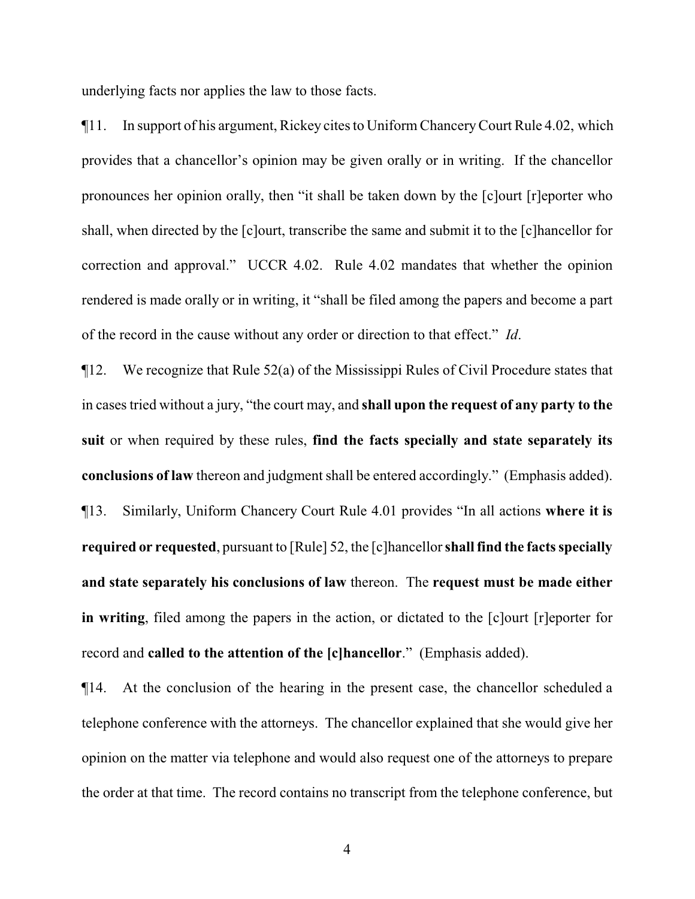underlying facts nor applies the law to those facts.

¶11. In support of his argument, Rickey cites to Uniform ChanceryCourt Rule 4.02, which provides that a chancellor's opinion may be given orally or in writing. If the chancellor pronounces her opinion orally, then "it shall be taken down by the [c]ourt [r]eporter who shall, when directed by the [c]ourt, transcribe the same and submit it to the [c]hancellor for correction and approval." UCCR 4.02. Rule 4.02 mandates that whether the opinion rendered is made orally or in writing, it "shall be filed among the papers and become a part of the record in the cause without any order or direction to that effect." *Id*.

¶12. We recognize that Rule 52(a) of the Mississippi Rules of Civil Procedure states that in cases tried without a jury, "the court may, and **shall upon the request of any party to the suit** or when required by these rules, **find the facts specially and state separately its conclusions of law** thereon and judgment shall be entered accordingly." (Emphasis added). ¶13. Similarly, Uniform Chancery Court Rule 4.01 provides "In all actions **where it is required or requested**, pursuant to [Rule] 52, the [c]hancellor **shall find the facts specially and state separately his conclusions of law** thereon. The **request must be made either in writing**, filed among the papers in the action, or dictated to the [c]ourt [r]eporter for record and **called to the attention of the [c]hancellor**." (Emphasis added).

¶14. At the conclusion of the hearing in the present case, the chancellor scheduled a telephone conference with the attorneys. The chancellor explained that she would give her opinion on the matter via telephone and would also request one of the attorneys to prepare the order at that time. The record contains no transcript from the telephone conference, but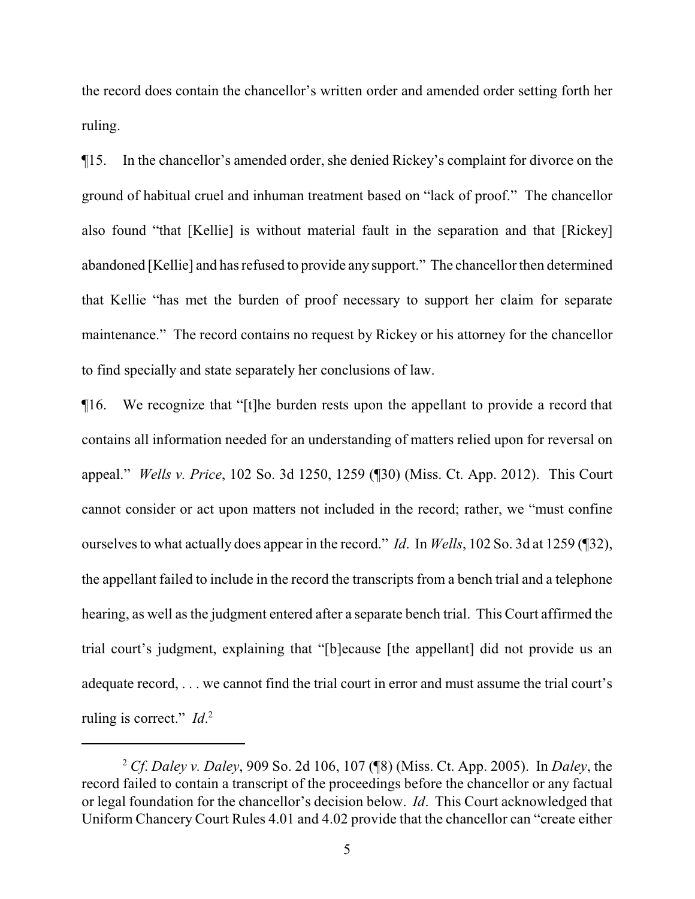the record does contain the chancellor's written order and amended order setting forth her ruling.

¶15. In the chancellor's amended order, she denied Rickey's complaint for divorce on the ground of habitual cruel and inhuman treatment based on "lack of proof." The chancellor also found "that [Kellie] is without material fault in the separation and that [Rickey] abandoned [Kellie] and has refused to provide any support." The chancellor then determined that Kellie "has met the burden of proof necessary to support her claim for separate maintenance." The record contains no request by Rickey or his attorney for the chancellor to find specially and state separately her conclusions of law.

¶16. We recognize that "[t]he burden rests upon the appellant to provide a record that contains all information needed for an understanding of matters relied upon for reversal on appeal." *Wells v. Price*, 102 So. 3d 1250, 1259 (¶30) (Miss. Ct. App. 2012). This Court cannot consider or act upon matters not included in the record; rather, we "must confine ourselves to what actually does appear in the record." *Id*. In *Wells*, 102 So. 3d at 1259 (¶32), the appellant failed to include in the record the transcripts from a bench trial and a telephone hearing, as well as the judgment entered after a separate bench trial. This Court affirmed the trial court's judgment, explaining that "[b]ecause [the appellant] did not provide us an adequate record, . . . we cannot find the trial court in error and must assume the trial court's ruling is correct." *Id*. 2

<sup>2</sup> *Cf*. *Daley v. Daley*, 909 So. 2d 106, 107 (¶8) (Miss. Ct. App. 2005). In *Daley*, the record failed to contain a transcript of the proceedings before the chancellor or any factual or legal foundation for the chancellor's decision below. *Id*. This Court acknowledged that Uniform Chancery Court Rules 4.01 and 4.02 provide that the chancellor can "create either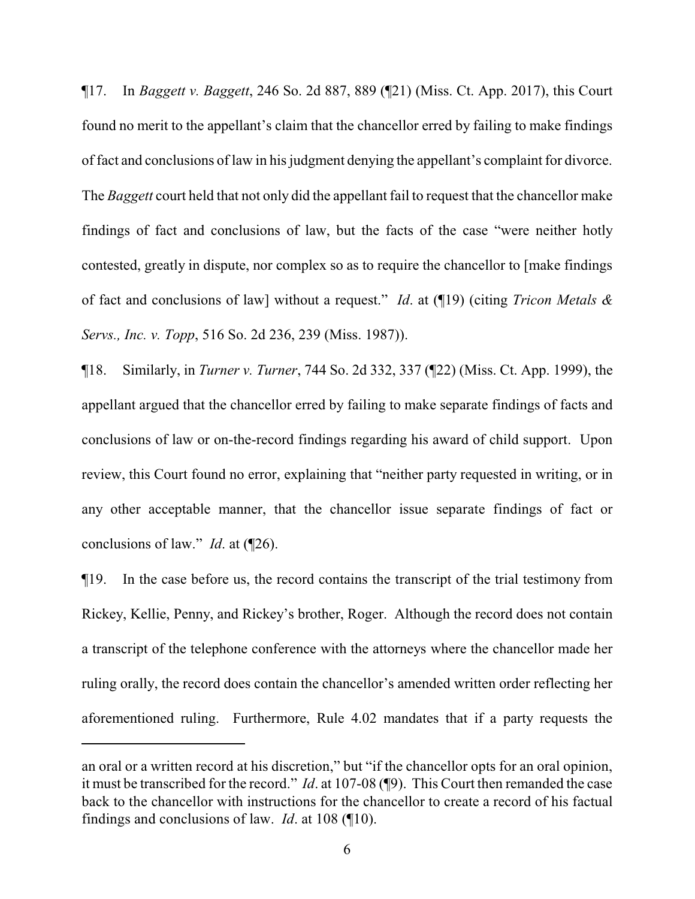¶17. In *Baggett v. Baggett*, 246 So. 2d 887, 889 (¶21) (Miss. Ct. App. 2017), this Court found no merit to the appellant's claim that the chancellor erred by failing to make findings of fact and conclusions of law in his judgment denying the appellant's complaint for divorce. The *Baggett* court held that not only did the appellant fail to request that the chancellor make findings of fact and conclusions of law, but the facts of the case "were neither hotly contested, greatly in dispute, nor complex so as to require the chancellor to [make findings of fact and conclusions of law] without a request." *Id*. at (¶19) (citing *Tricon Metals & Servs., Inc. v. Topp*, 516 So. 2d 236, 239 (Miss. 1987)).

¶18. Similarly, in *Turner v. Turner*, 744 So. 2d 332, 337 (¶22) (Miss. Ct. App. 1999), the appellant argued that the chancellor erred by failing to make separate findings of facts and conclusions of law or on-the-record findings regarding his award of child support. Upon review, this Court found no error, explaining that "neither party requested in writing, or in any other acceptable manner, that the chancellor issue separate findings of fact or conclusions of law." *Id*. at (¶26).

¶19. In the case before us, the record contains the transcript of the trial testimony from Rickey, Kellie, Penny, and Rickey's brother, Roger. Although the record does not contain a transcript of the telephone conference with the attorneys where the chancellor made her ruling orally, the record does contain the chancellor's amended written order reflecting her aforementioned ruling. Furthermore, Rule 4.02 mandates that if a party requests the

an oral or a written record at his discretion," but "if the chancellor opts for an oral opinion, it must be transcribed for the record." *Id*. at 107-08 (¶9). This Court then remanded the case back to the chancellor with instructions for the chancellor to create a record of his factual findings and conclusions of law. *Id*. at 108 (¶10).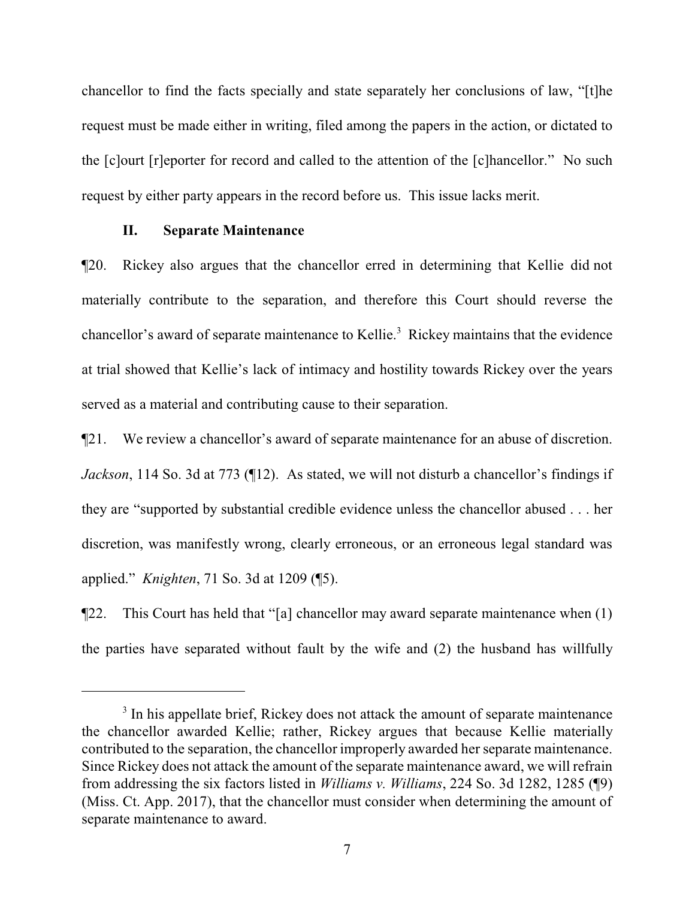chancellor to find the facts specially and state separately her conclusions of law, "[t]he request must be made either in writing, filed among the papers in the action, or dictated to the [c]ourt [r]eporter for record and called to the attention of the [c]hancellor." No such request by either party appears in the record before us. This issue lacks merit.

#### **II. Separate Maintenance**

¶20. Rickey also argues that the chancellor erred in determining that Kellie did not materially contribute to the separation, and therefore this Court should reverse the chancellor's award of separate maintenance to Kellie.<sup>3</sup> Rickey maintains that the evidence at trial showed that Kellie's lack of intimacy and hostility towards Rickey over the years served as a material and contributing cause to their separation.

¶21. We review a chancellor's award of separate maintenance for an abuse of discretion. *Jackson*, 114 So. 3d at 773 (112). As stated, we will not disturb a chancellor's findings if they are "supported by substantial credible evidence unless the chancellor abused . . . her discretion, was manifestly wrong, clearly erroneous, or an erroneous legal standard was applied." *Knighten*, 71 So. 3d at 1209 (¶5).

¶22. This Court has held that "[a] chancellor may award separate maintenance when (1) the parties have separated without fault by the wife and (2) the husband has willfully

<sup>&</sup>lt;sup>3</sup> In his appellate brief, Rickey does not attack the amount of separate maintenance the chancellor awarded Kellie; rather, Rickey argues that because Kellie materially contributed to the separation, the chancellor improperly awarded her separate maintenance. Since Rickey does not attack the amount of the separate maintenance award, we will refrain from addressing the six factors listed in *Williams v. Williams*, 224 So. 3d 1282, 1285 (¶9) (Miss. Ct. App. 2017), that the chancellor must consider when determining the amount of separate maintenance to award.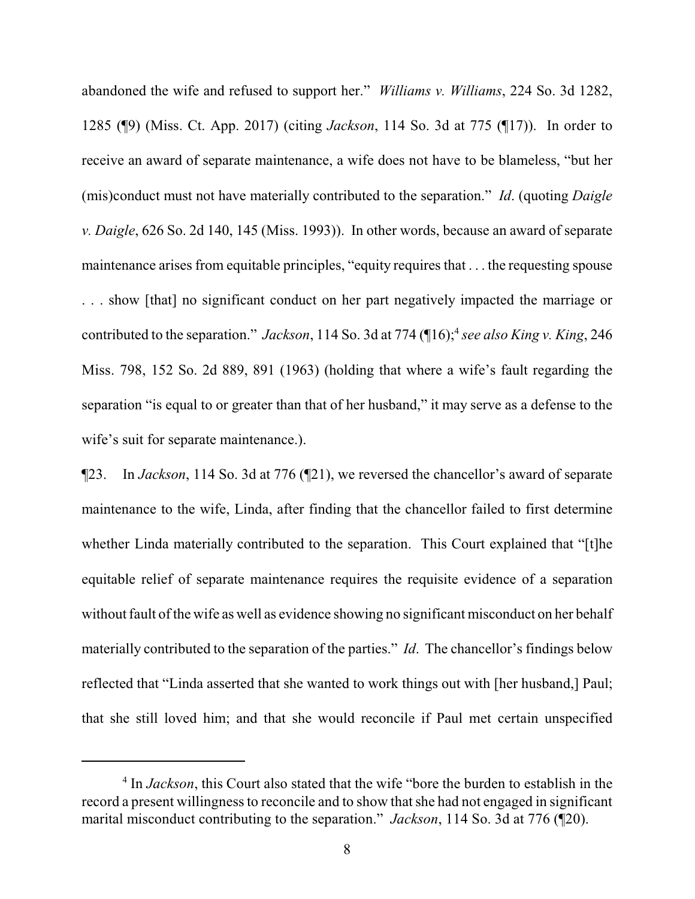abandoned the wife and refused to support her." *Williams v. Williams*, 224 So. 3d 1282, 1285 (¶9) (Miss. Ct. App. 2017) (citing *Jackson*, 114 So. 3d at 775 (¶17)). In order to receive an award of separate maintenance, a wife does not have to be blameless, "but her (mis)conduct must not have materially contributed to the separation." *Id*. (quoting *Daigle v. Daigle*, 626 So. 2d 140, 145 (Miss. 1993)). In other words, because an award of separate maintenance arises from equitable principles, "equity requires that . . . the requesting spouse . . . show [that] no significant conduct on her part negatively impacted the marriage or contributed to the separation." *Jackson*, 114 So. 3d at 774 (16);<sup>4</sup> see also King v. King, 246 Miss. 798, 152 So. 2d 889, 891 (1963) (holding that where a wife's fault regarding the separation "is equal to or greater than that of her husband," it may serve as a defense to the wife's suit for separate maintenance.).

¶23. In *Jackson*, 114 So. 3d at 776 (¶21), we reversed the chancellor's award of separate maintenance to the wife, Linda, after finding that the chancellor failed to first determine whether Linda materially contributed to the separation. This Court explained that "[t]he equitable relief of separate maintenance requires the requisite evidence of a separation without fault of the wife as well as evidence showing no significant misconduct on her behalf materially contributed to the separation of the parties." *Id*. The chancellor's findings below reflected that "Linda asserted that she wanted to work things out with [her husband,] Paul; that she still loved him; and that she would reconcile if Paul met certain unspecified

<sup>&</sup>lt;sup>4</sup> In *Jackson*, this Court also stated that the wife "bore the burden to establish in the record a present willingness to reconcile and to show that she had not engaged in significant marital misconduct contributing to the separation." *Jackson*, 114 So. 3d at 776 (¶20).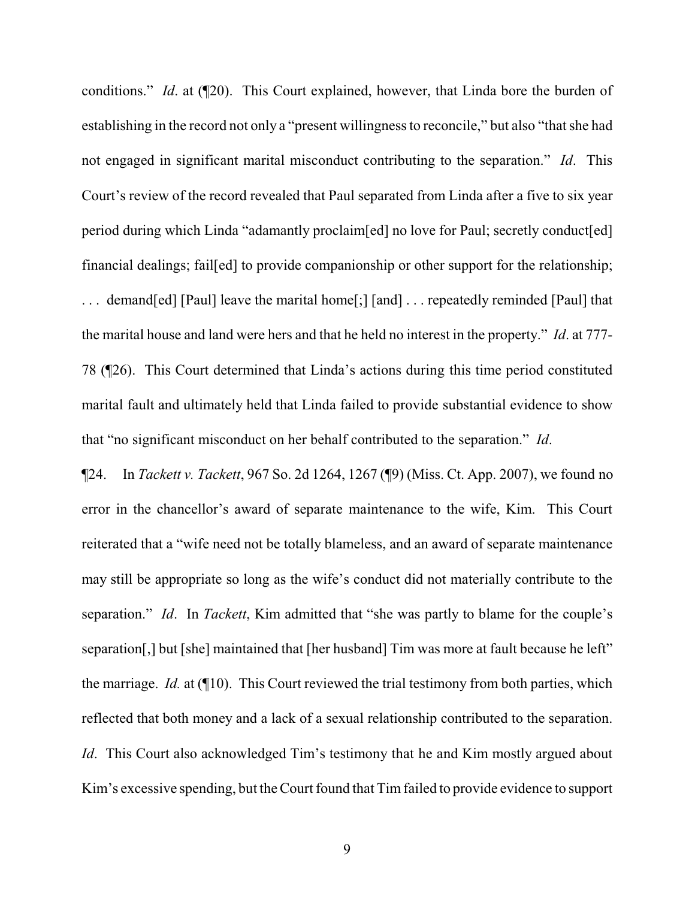conditions." *Id*. at (¶20). This Court explained, however, that Linda bore the burden of establishing in the record not only a "present willingness to reconcile," but also "that she had not engaged in significant marital misconduct contributing to the separation." *Id*. This Court's review of the record revealed that Paul separated from Linda after a five to six year period during which Linda "adamantly proclaim[ed] no love for Paul; secretly conduct[ed] financial dealings; fail[ed] to provide companionship or other support for the relationship; . . . demand[ed] [Paul] leave the marital home[;] [and] . . . repeatedly reminded [Paul] that the marital house and land were hers and that he held no interest in the property." *Id*. at 777- 78 (¶26). This Court determined that Linda's actions during this time period constituted marital fault and ultimately held that Linda failed to provide substantial evidence to show that "no significant misconduct on her behalf contributed to the separation." *Id*.

¶24. In *Tackett v. Tackett*, 967 So. 2d 1264, 1267 (¶9) (Miss. Ct. App. 2007), we found no error in the chancellor's award of separate maintenance to the wife, Kim. This Court reiterated that a "wife need not be totally blameless, and an award of separate maintenance may still be appropriate so long as the wife's conduct did not materially contribute to the separation." *Id*. In *Tackett*, Kim admitted that "she was partly to blame for the couple's separation[,] but [she] maintained that [her husband] Tim was more at fault because he left" the marriage. *Id.* at (¶10). This Court reviewed the trial testimony from both parties, which reflected that both money and a lack of a sexual relationship contributed to the separation. *Id.* This Court also acknowledged Tim's testimony that he and Kim mostly argued about Kim's excessive spending, but the Court found that Tim failed to provide evidence to support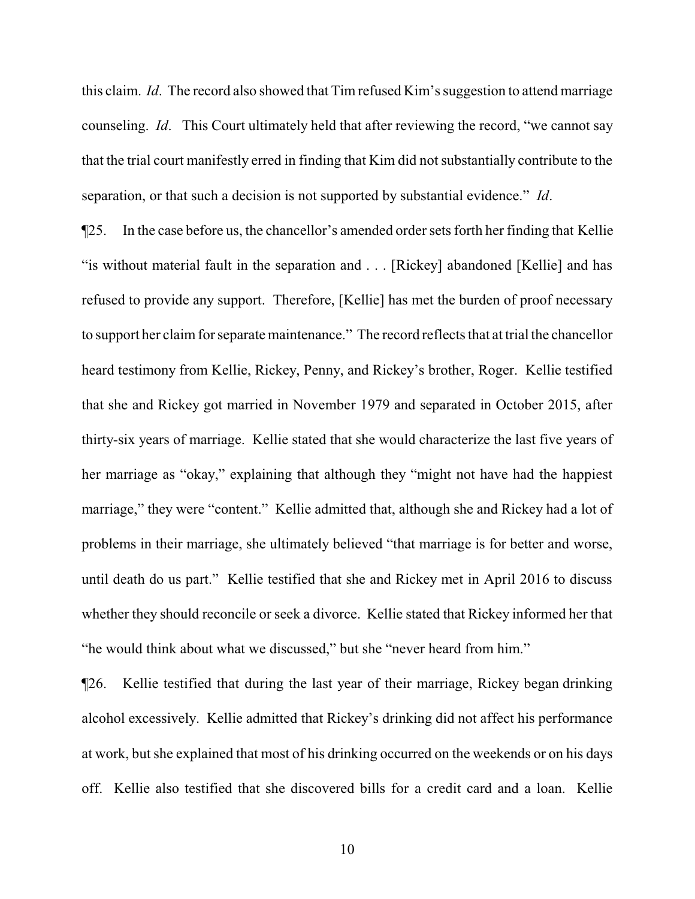this claim. *Id*. The record also showed that Tim refused Kim's suggestion to attend marriage counseling. *Id*. This Court ultimately held that after reviewing the record, "we cannot say that the trial court manifestly erred in finding that Kim did not substantially contribute to the separation, or that such a decision is not supported by substantial evidence." *Id*.

¶25. In the case before us, the chancellor's amended order sets forth her finding that Kellie "is without material fault in the separation and . . . [Rickey] abandoned [Kellie] and has refused to provide any support. Therefore, [Kellie] has met the burden of proof necessary to support her claim for separate maintenance." The record reflects that at trial the chancellor heard testimony from Kellie, Rickey, Penny, and Rickey's brother, Roger. Kellie testified that she and Rickey got married in November 1979 and separated in October 2015, after thirty-six years of marriage. Kellie stated that she would characterize the last five years of her marriage as "okay," explaining that although they "might not have had the happiest marriage," they were "content." Kellie admitted that, although she and Rickey had a lot of problems in their marriage, she ultimately believed "that marriage is for better and worse, until death do us part." Kellie testified that she and Rickey met in April 2016 to discuss whether they should reconcile or seek a divorce. Kellie stated that Rickey informed her that "he would think about what we discussed," but she "never heard from him."

¶26. Kellie testified that during the last year of their marriage, Rickey began drinking alcohol excessively. Kellie admitted that Rickey's drinking did not affect his performance at work, but she explained that most of his drinking occurred on the weekends or on his days off. Kellie also testified that she discovered bills for a credit card and a loan. Kellie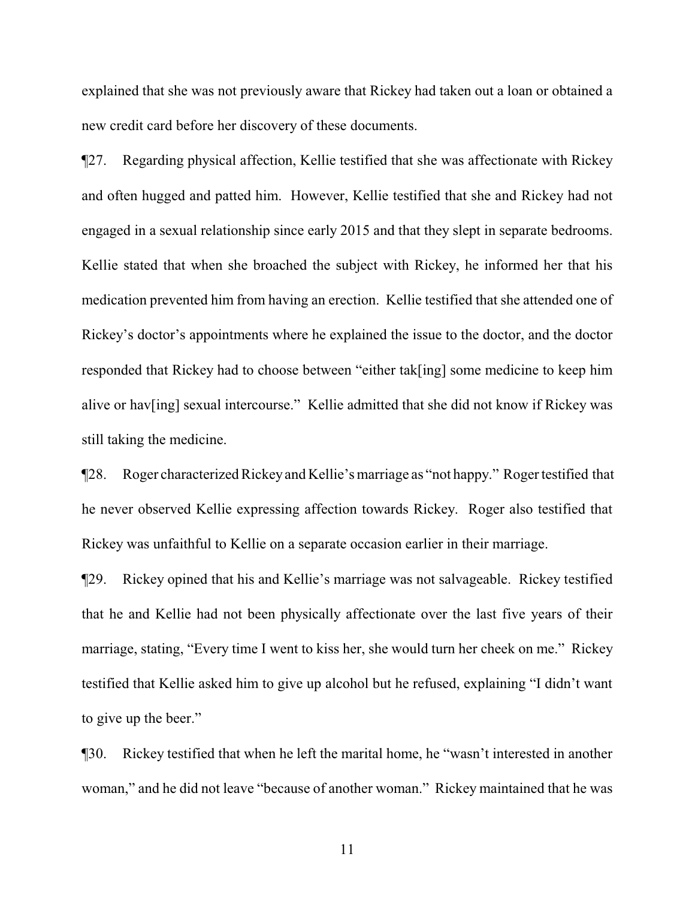explained that she was not previously aware that Rickey had taken out a loan or obtained a new credit card before her discovery of these documents.

¶27. Regarding physical affection, Kellie testified that she was affectionate with Rickey and often hugged and patted him. However, Kellie testified that she and Rickey had not engaged in a sexual relationship since early 2015 and that they slept in separate bedrooms. Kellie stated that when she broached the subject with Rickey, he informed her that his medication prevented him from having an erection. Kellie testified that she attended one of Rickey's doctor's appointments where he explained the issue to the doctor, and the doctor responded that Rickey had to choose between "either tak[ing] some medicine to keep him alive or hav[ing] sexual intercourse." Kellie admitted that she did not know if Rickey was still taking the medicine.

¶28. Roger characterized Rickeyand Kellie's marriage as "not happy." Roger testified that he never observed Kellie expressing affection towards Rickey. Roger also testified that Rickey was unfaithful to Kellie on a separate occasion earlier in their marriage.

¶29. Rickey opined that his and Kellie's marriage was not salvageable. Rickey testified that he and Kellie had not been physically affectionate over the last five years of their marriage, stating, "Every time I went to kiss her, she would turn her cheek on me." Rickey testified that Kellie asked him to give up alcohol but he refused, explaining "I didn't want to give up the beer."

¶30. Rickey testified that when he left the marital home, he "wasn't interested in another woman," and he did not leave "because of another woman." Rickey maintained that he was

11